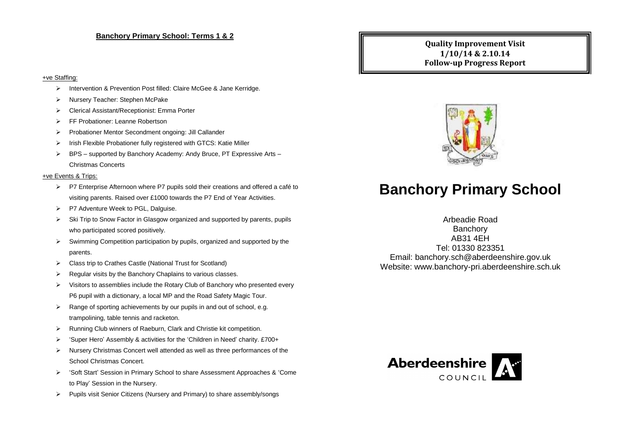#### **Banchory Primary School: Terms 1 & 2**

### **Quality Improvement Visit 1/10/14 & 2.10.14 Follow-up Progress Report**

#### +ve Staffing:

- > Intervention & Prevention Post filled: Claire McGee & Jane Kerridge.
- Nursery Teacher: Stephen McPake
- Clerical Assistant/Receptionist: Emma Porter
- FF Probationer: Leanne Robertson
- Probationer Mentor Secondment ongoing: Jill Callander
- $\triangleright$  Irish Flexible Probationer fully registered with GTCS: Katie Miller
- $\triangleright$  BPS supported by Banchory Academy: Andy Bruce, PT Expressive Arts Christmas Concerts

#### +ve Events & Trips:

- $\triangleright$  P7 Enterprise Afternoon where P7 pupils sold their creations and offered a café to visiting parents. Raised over £1000 towards the P7 End of Year Activities.
- P7 Adventure Week to PGL, Dalguise.
- $\triangleright$  Ski Trip to Snow Factor in Glasgow organized and supported by parents, pupils who participated scored positively.
- $\triangleright$  Swimming Competition participation by pupils, organized and supported by the parents.
- Class trip to Crathes Castle (National Trust for Scotland)
- $\triangleright$  Regular visits by the Banchory Chaplains to various classes.
- $\triangleright$  Visitors to assemblies include the Rotary Club of Banchory who presented every P6 pupil with a dictionary, a local MP and the Road Safety Magic Tour.
- $\triangleright$  Range of sporting achievements by our pupils in and out of school, e.g. trampolining, table tennis and racketon.
- Running Club winners of Raeburn, Clark and Christie kit competition.
- $\triangleright$  'Super Hero' Assembly & activities for the 'Children in Need' charity. £700+
- $\triangleright$  Nursery Christmas Concert well attended as well as three performances of the School Christmas Concert.
- 'Soft Start' Session in Primary School to share Assessment Approaches & 'Come to Play' Session in the Nursery.
- $\triangleright$  Pupils visit Senior Citizens (Nursery and Primary) to share assembly/songs



# **Banchory Primary School**

# Arbeadie Road

**Banchory** AB31 4EH Tel: 01330 823351 Email: banchory.sch@aberdeenshire.gov.uk Website: www.banchory-pri.aberdeenshire.sch.uk

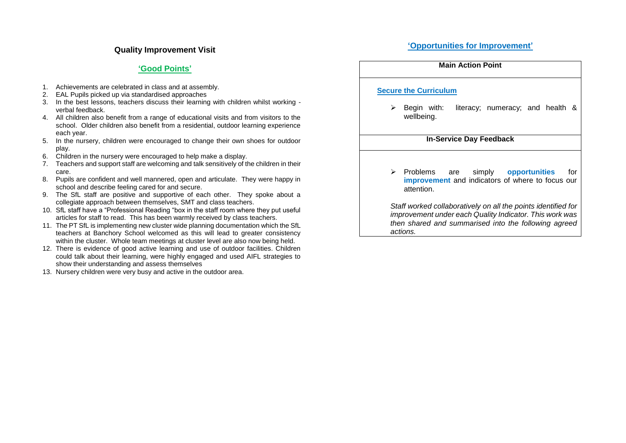### **Quality Improvement Visit**

### **'Good Points'**

- 1. Achievements are celebrated in class and at assembly.
- 2. EAL Pupils picked up via standardised approaches
- 3. In the best lessons, teachers discuss their learning with children whilst working verbal feedback.
- 4. All children also benefit from a range of educational visits and from visitors to the school. Older children also benefit from a residential, outdoor learning experience each year.
- 5. In the nursery, children were encouraged to change their own shoes for outdoor play.
- 6. Children in the nursery were encouraged to help make a display.
- 7. Teachers and support staff are welcoming and talk sensitively of the children in their care.
- 8. Pupils are confident and well mannered, open and articulate. They were happy in school and describe feeling cared for and secure.
- 9. The SfL staff are positive and supportive of each other. They spoke about a collegiate approach between themselves, SMT and class teachers.
- 10. SfL staff have a "Professional Reading "box in the staff room where they put useful articles for staff to read. This has been warmly received by class teachers.
- 11. The PT SfL is implementing new cluster wide planning documentation which the SfL teachers at Banchory School welcomed as this will lead to greater consistency within the cluster. Whole team meetings at cluster level are also now being held.
- 12. There is evidence of good active learning and use of outdoor facilities. Children could talk about their learning, were highly engaged and used AIFL strategies to show their understanding and assess themselves
- 13. Nursery children were very busy and active in the outdoor area.

| Main Action Point                                                                                                                                                                            |
|----------------------------------------------------------------------------------------------------------------------------------------------------------------------------------------------|
| <b>Secure the Curriculum</b>                                                                                                                                                                 |
| Begin with:<br>literacy; numeracy; and health &<br>➤<br>wellbeing.                                                                                                                           |
| <b>In-Service Day Feedback</b>                                                                                                                                                               |
| $\blacktriangleright$<br>Problems are simply opportunities<br>for<br>improvement and indicators of where to focus our<br>attention.                                                          |
| Staff worked collaboratively on all the points identified for<br>improvement under each Quality Indicator. This work was<br>then shared and summarised into the following agreed<br>actions. |

#### **'Opportunities for Improvement'**

**Main Action Point**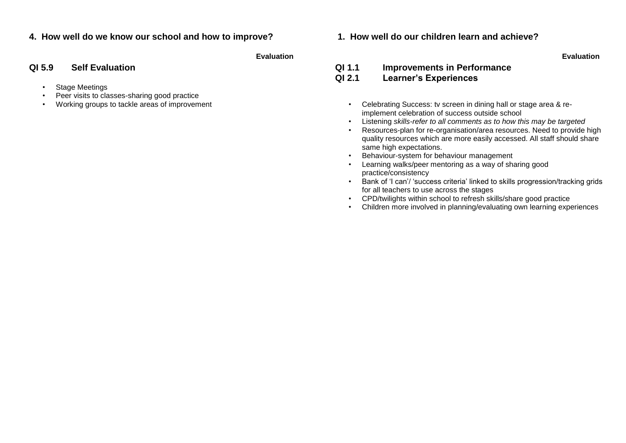# **4. How well do we know our school and how to improve? 1. How well do our children learn and achieve?**

**Evaluation Evaluation**

- Stage Meetings
- Peer visits to classes-sharing good practice<br>Working groups to tackle areas of improvement
- 

# **QI 5.9 Self Evaluation QI 1.1 Improvements in Performance QI 2.1 Learner's Experiences**

- Working groups to tackle areas of improvement excluding the state of the control of the Celebrating Success: tv screen in dining hall or stage area & reimplement celebration of success outside school
	- Listening *skills-refer to all comments as to how this may be targeted*
	- Resources-plan for re-organisation/area resources. Need to provide high quality resources which are more easily accessed. All staff should share same high expectations.
	- Behaviour-system for behaviour management
	- Learning walks/peer mentoring as a way of sharing good practice/consistency
	- Bank of 'I can'/ 'success criteria' linked to skills progression/tracking grids for all teachers to use across the stages
	- CPD/twilights within school to refresh skills/share good practice
	- Children more involved in planning/evaluating own learning experiences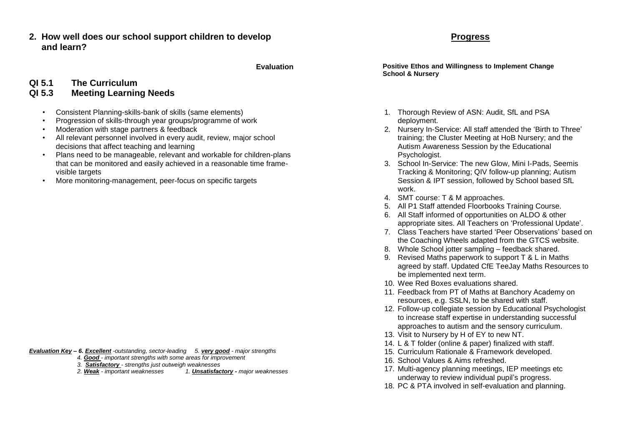**2. How well does our school support children to develop and learn?**

# **QI 5.1 The Curriculum QI 5.3 Meeting Learning Needs**

- Consistent Planning-skills-bank of skills (same elements)
- Progression of skills-through year groups/programme of work
- Moderation with stage partners & feedback
- All relevant personnel involved in every audit, review, major school decisions that affect teaching and learning
- Plans need to be manageable, relevant and workable for children-plans that can be monitored and easily achieved in a reasonable time framevisible targets
- More monitoring-management, peer-focus on specific targets

*Evaluation Key – 6. Excellent -outstanding, sector-leading 5. very good - major strengths* 

- *4. Good - important strengths with some areas for improvement*
- *3. Satisfactory - strengths just outweigh weaknesses*

 *2. Weak - important weaknesses 1. Unsatisfactory - major weaknesses*

**Evaluation Positive Ethos and Willingness to Implement Change School & Nursery**

- 1. Thorough Review of ASN: Audit, SfL and PSA deployment.
- 2. Nursery In-Service: All staff attended the 'Birth to Three' training; the Cluster Meeting at HoB Nursery; and the Autism Awareness Session by the Educational Psychologist.
- 3. School In-Service: The new Glow, Mini I-Pads, Seemis Tracking & Monitoring; QIV follow-up planning; Autism Session & IPT session, followed by School based SfL work.
- 4. SMT course: T & M approaches.
- 5. All P1 Staff attended Floorbooks Training Course.
- 6. All Staff informed of opportunities on ALDO & other appropriate sites. All Teachers on 'Professional Update'.
- 7. Class Teachers have started 'Peer Observations' based on the Coaching Wheels adapted from the GTCS website.
- 8. Whole School jotter sampling feedback shared.
- 9. Revised Maths paperwork to support T & L in Maths agreed by staff. Updated CfE TeeJay Maths Resources to be implemented next term.
- 10. Wee Red Boxes evaluations shared.
- 11. Feedback from PT of Maths at Banchory Academy on resources, e.g. SSLN, to be shared with staff.
- 12. Follow-up collegiate session by Educational Psychologist to increase staff expertise in understanding successful approaches to autism and the sensory curriculum.
- 13. Visit to Nursery by H of EY to new NT.
- 14. L & T folder (online & paper) finalized with staff.
- 15. Curriculum Rationale & Framework developed.
- 16. School Values & Aims refreshed.
- 17. Multi-agency planning meetings, IEP meetings etc underway to review individual pupil's progress.
- 18. PC & PTA involved in self-evaluation and planning.

# **Progress**